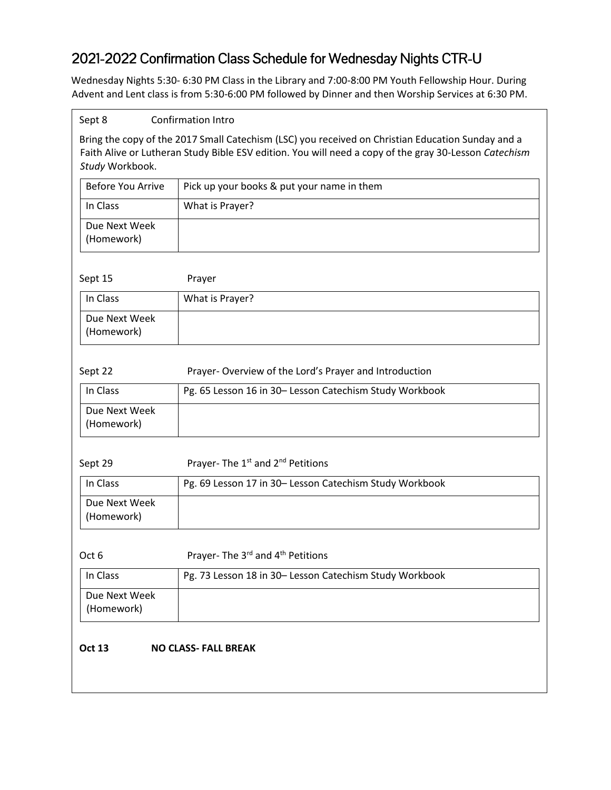## 2021-2022 Confirmation Class Schedule for Wednesday Nights CTR-U

Wednesday Nights 5:30- 6:30 PM Class in the Library and 7:00-8:00 PM Youth Fellowship Hour. During Advent and Lent class is from 5:30-6:00 PM followed by Dinner and then Worship Services at 6:30 PM.

| Sept 8<br><b>Confirmation Intro</b> |                                                                                                                                                                                                            |  |
|-------------------------------------|------------------------------------------------------------------------------------------------------------------------------------------------------------------------------------------------------------|--|
| Study Workbook.                     | Bring the copy of the 2017 Small Catechism (LSC) you received on Christian Education Sunday and a<br>Faith Alive or Lutheran Study Bible ESV edition. You will need a copy of the gray 30-Lesson Catechism |  |
| <b>Before You Arrive</b>            | Pick up your books & put your name in them                                                                                                                                                                 |  |
| In Class                            | What is Prayer?                                                                                                                                                                                            |  |
| Due Next Week<br>(Homework)         |                                                                                                                                                                                                            |  |
| Sept 15                             | Prayer                                                                                                                                                                                                     |  |
| In Class                            | What is Prayer?                                                                                                                                                                                            |  |
| Due Next Week<br>(Homework)         |                                                                                                                                                                                                            |  |
| Sept 22                             | Prayer-Overview of the Lord's Prayer and Introduction                                                                                                                                                      |  |
| In Class                            | Pg. 65 Lesson 16 in 30- Lesson Catechism Study Workbook                                                                                                                                                    |  |
| Due Next Week<br>(Homework)         |                                                                                                                                                                                                            |  |
| Sept 29                             | Prayer-The 1 <sup>st</sup> and 2 <sup>nd</sup> Petitions                                                                                                                                                   |  |
| In Class                            | Pg. 69 Lesson 17 in 30- Lesson Catechism Study Workbook                                                                                                                                                    |  |
| Due Next Week<br>(Homework)         |                                                                                                                                                                                                            |  |
| Oct 6                               | Prayer-The 3rd and 4th Petitions                                                                                                                                                                           |  |
| In Class                            | Pg. 73 Lesson 18 in 30- Lesson Catechism Study Workbook                                                                                                                                                    |  |
| Due Next Week<br>(Homework)         |                                                                                                                                                                                                            |  |
| <b>Oct 13</b>                       | <b>NO CLASS- FALL BREAK</b>                                                                                                                                                                                |  |